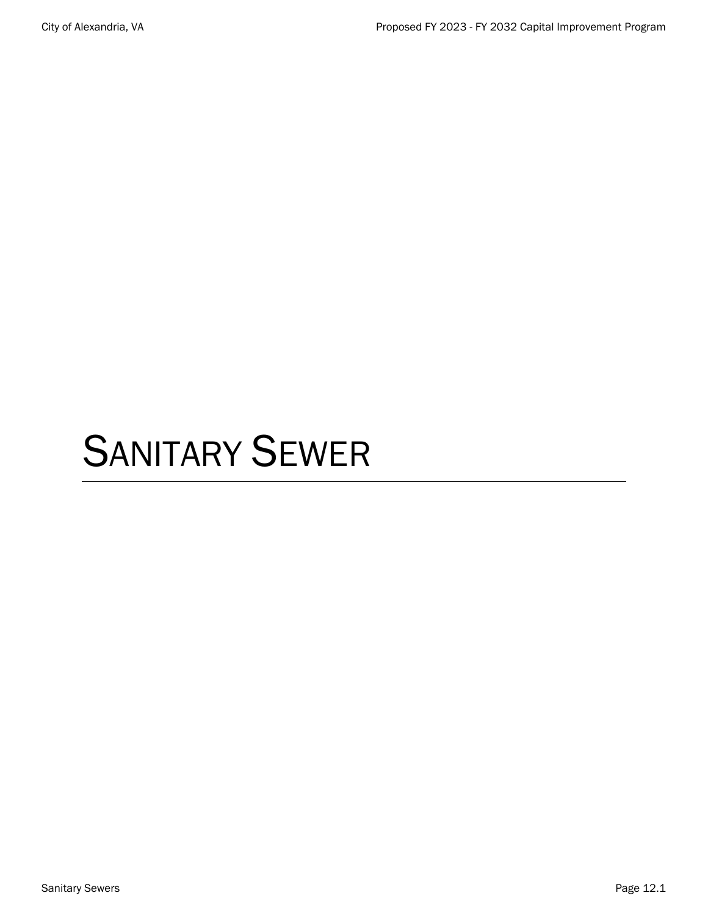# SANITARY SEWER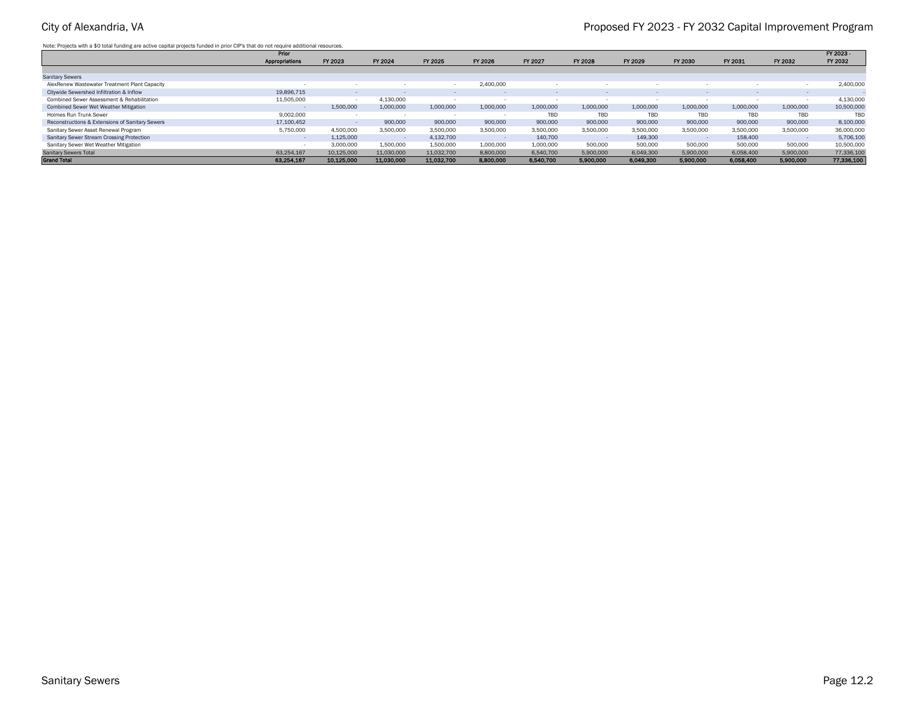Note: Projects with a \$0 total funding are active capital projects funded in prior CIP's that do not require additional resources.

|                                                 | Prior          |            |            |            |           |           |           |           |           |           |           | FY 2023 -  |
|-------------------------------------------------|----------------|------------|------------|------------|-----------|-----------|-----------|-----------|-----------|-----------|-----------|------------|
|                                                 | Appropriations | FY 2023    | FY 2024    | FY 2025    | FY 2026   | FY 2027   | FY 2028   | FY 2029   | FY 2030   | FY 2031   | FY 2032   | FY 2032    |
|                                                 |                |            |            |            |           |           |           |           |           |           |           |            |
| <b>Sanitary Sewers</b>                          |                |            |            |            |           |           |           |           |           |           |           |            |
| AlexRenew Wastewater Treatment Plant Capacity   |                |            |            |            | 2.400.000 |           |           |           |           |           |           | 2,400,000  |
| Citywide Sewershed Infiltration & Inflow        | 19,896,715     |            |            | $\sim$     |           |           | $\sim$    |           |           |           | $\sim$    |            |
| Combined Sewer Assessment & Rehabilitation      | 11,505,000     |            | 4.130.000  | $\sim$     |           |           |           |           | $\sim$    |           |           | 4,130,000  |
| Combined Sewer Wet Weather Mitigation           |                | 1,500,000  | 1,000,000  | 1,000,000  | 1,000,000 | 1,000,000 | 1,000,000 | 1,000,000 | 1,000,000 | 1,000,000 | 1,000,000 | 10,500,000 |
| Holmes Run Trunk Sewer                          | 9.002.000      |            |            | . .        |           | TBD       | TBD       | TBD       | TBD       | TBD       | TBD       | TBD        |
| Reconstructions & Extensions of Sanitary Sewers | 17,100,452     |            | 900,000    | 900,000    | 900,000   | 900,000   | 900,000   | 900,000   | 900,000   | 900,000   | 900,000   | 8,100,000  |
| Sanitary Sewer Asset Renewal Program            | 5,750,000      | 4.500.000  | 3,500,000  | 3,500,000  | 3,500,000 | 3,500,000 | 3.500.000 | 3,500,000 | 3,500,000 | 3,500,000 | 3,500,000 | 36,000,000 |
| Sanitary Sewer Stream Crossing Protection       |                | 1,125,000  |            | 4,132,700  |           | 140,700   |           | 149,300   |           | 158,400   |           | 5,706,100  |
| Sanitary Sewer Wet Weather Mitigation           |                | 3,000,000  | 1.500.000  | 1,500,000  | 1,000,000 | 1,000,000 | 500,000   | 500,000   | 500,000   | 500,000   | 500,000   | 10,500,000 |
| <b>Sanitary Sewers Total</b>                    | 63.254.167     | 10.125.000 | 11,030,000 | 11.032.700 | 8,800,000 | 6,540,700 | 5,900,000 | 6.049.300 | 5,900,000 | 6,058,400 | 5,900,000 | 77,336,100 |
| <b>Grand Total</b>                              | 63,254,167     | 10.125.000 | 11,030,000 | 11,032,700 | 8,800,000 | 6,540,700 | 5,900,000 | 6,049,300 | 5,900,000 | 6,058,400 | 5,900,000 | 77,336,100 |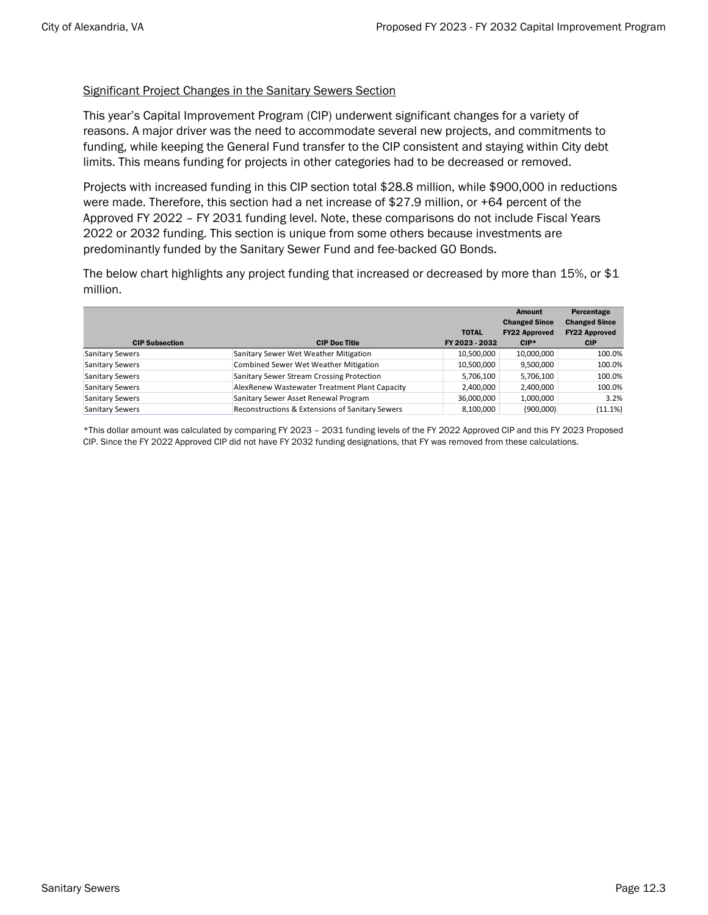### Significant Project Changes in the Sanitary Sewers Section

This year's Capital Improvement Program (CIP) underwent significant changes for a variety of reasons. A major driver was the need to accommodate several new projects, and commitments to funding, while keeping the General Fund transfer to the CIP consistent and staying within City debt limits. This means funding for projects in other categories had to be decreased or removed.

Projects with increased funding in this CIP section total \$28.8 million, while \$900,000 in reductions were made. Therefore, this section had a net increase of \$27.9 million, or +64 percent of the Approved FY 2022 – FY 2031 funding level. Note, these comparisons do not include Fiscal Years 2022 or 2032 funding. This section is unique from some others because investments are predominantly funded by the Sanitary Sewer Fund and fee-backed GO Bonds.

The below chart highlights any project funding that increased or decreased by more than 15%, or \$1 million.

|                        |                                                  |                | Amount               | Percentage           |
|------------------------|--------------------------------------------------|----------------|----------------------|----------------------|
|                        |                                                  |                | <b>Changed Since</b> | <b>Changed Since</b> |
|                        |                                                  | <b>TOTAL</b>   | <b>FY22 Approved</b> | <b>FY22 Approved</b> |
| <b>CIP Subsection</b>  | <b>CIP Doc Title</b>                             | FY 2023 - 2032 | $CIP*$               | <b>CIP</b>           |
| <b>Sanitary Sewers</b> | Sanitary Sewer Wet Weather Mitigation            | 10,500,000     | 10,000,000           | 100.0%               |
| <b>Sanitary Sewers</b> | <b>Combined Sewer Wet Weather Mitigation</b>     | 10,500,000     | 9,500,000            | 100.0%               |
| <b>Sanitary Sewers</b> | <b>Sanitary Sewer Stream Crossing Protection</b> | 5,706,100      | 5,706,100            | 100.0%               |
| <b>Sanitary Sewers</b> | AlexRenew Wastewater Treatment Plant Capacity    | 2,400,000      | 2,400,000            | 100.0%               |
| <b>Sanitary Sewers</b> | Sanitary Sewer Asset Renewal Program             | 36,000,000     | 1,000,000            | 3.2%                 |
| <b>Sanitary Sewers</b> | Reconstructions & Extensions of Sanitary Sewers  | 8,100,000      | (900,000)            | $(11.1\%)$           |

\*This dollar amount was calculated by comparing FY 2023 – 2031 funding levels of the FY 2022 Approved CIP and this FY 2023 Proposed CIP. Since the FY 2022 Approved CIP did not have FY 2032 funding designations, that FY was removed from these calculations.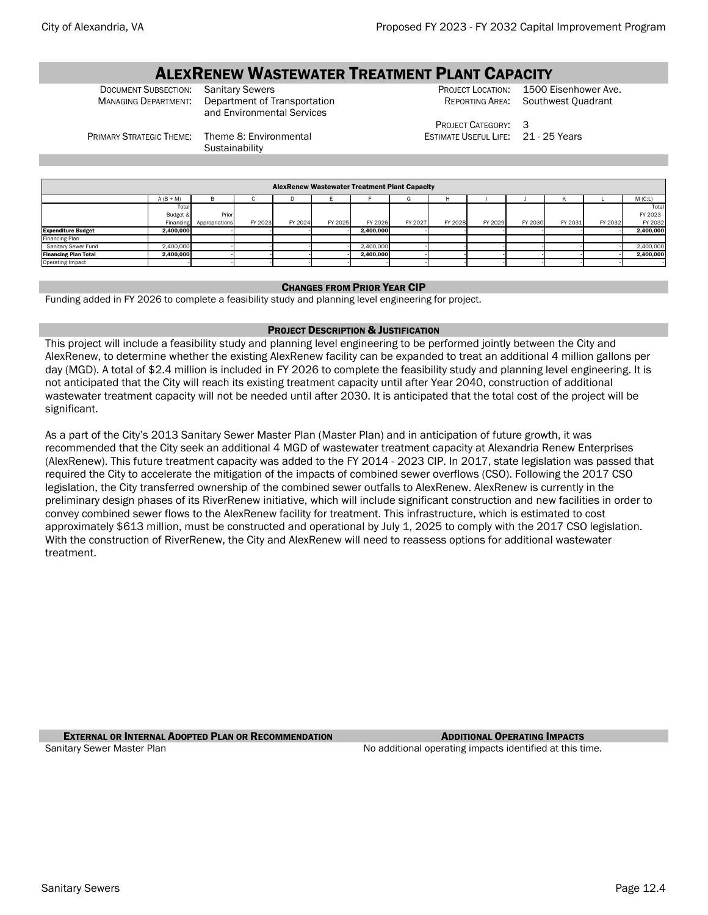# **ALEXRENEW WASTEWATER TREATMENT PLANT CAPACITY**<br>Document Subsection: Sanitary Sewers

DOCUMENT SUBSECTION: Sanitary Sewers<br>
MANAGING DEPARTMENT: Department of Transportation REPORTING AREA: Southwest Quadrant Department of Transportation and Environmental Services

PROJECT CATEGORY: 3

Southwest Quadrant

ESTIMATE USEFUL LIFE: 21 - 25 Years

PRIMARY STRATEGIC THEME: Theme 8: Environmental

**Sustainability** 

| <b>AlexRenew Wastewater Treatment Plant Capacity</b> |             |                          |              |         |         |           |         |         |         |         |         |         |           |  |
|------------------------------------------------------|-------------|--------------------------|--------------|---------|---------|-----------|---------|---------|---------|---------|---------|---------|-----------|--|
|                                                      | $A (B + M)$ | в                        | $\mathbf{L}$ | D       |         |           | G       | н       |         |         |         |         | M(C:L)    |  |
|                                                      | Total       |                          |              |         |         |           |         |         |         |         |         |         | Total     |  |
|                                                      | Budget &    | Prior                    |              |         |         |           |         |         |         |         |         |         | FY 2023 - |  |
|                                                      |             | Financing Appropriations | FY 2023      | FY 2024 | FY 2025 | FY 2026   | FY 2027 | FY 2028 | FY 2029 | FY 2030 | FY 2031 | FY 2032 | FY 2032   |  |
| <b>Expenditure Budget</b>                            | 2.400.000   |                          |              |         |         | 2.400.000 |         |         |         |         |         |         | 2,400,000 |  |
| Financing Plan                                       |             |                          |              |         |         |           |         |         |         |         |         |         |           |  |
| Sanitary Sewer Fund                                  | 2,400,000   |                          |              |         |         | 2,400,000 |         |         |         |         |         |         | 2,400,000 |  |
| <b>Financing Plan Total</b>                          | 2.400.000   |                          |              |         |         | 2.400.000 |         |         |         |         |         |         | 2,400,000 |  |
| Operating Impact                                     |             |                          |              |         |         |           |         |         |         |         |         |         |           |  |

#### CHANGES FROM PRIOR YEAR CIP

Funding added in FY 2026 to complete a feasibility study and planning level engineering for project.

#### PROJECT DESCRIPTION & JUSTIFICATION

This project will include a feasibility study and planning level engineering to be performed jointly between the City and AlexRenew, to determine whether the existing AlexRenew facility can be expanded to treat an additional 4 million gallons per day (MGD). A total of \$2.4 million is included in FY 2026 to complete the feasibility study and planning level engineering. It is not anticipated that the City will reach its existing treatment capacity until after Year 2040, construction of additional wastewater treatment capacity will not be needed until after 2030. It is anticipated that the total cost of the project will be significant.

As a part of the City's 2013 Sanitary Sewer Master Plan (Master Plan) and in anticipation of future growth, it was recommended that the City seek an additional 4 MGD of wastewater treatment capacity at Alexandria Renew Enterprises (AlexRenew). This future treatment capacity was added to the FY 2014 - 2023 CIP. In 2017, state legislation was passed that required the City to accelerate the mitigation of the impacts of combined sewer overflows (CSO). Following the 2017 CSO legislation, the City transferred ownership of the combined sewer outfalls to AlexRenew. AlexRenew is currently in the preliminary design phases of its RiverRenew initiative, which will include significant construction and new facilities in order to convey combined sewer flows to the AlexRenew facility for treatment. This infrastructure, which is estimated to cost approximately \$613 million, must be constructed and operational by July 1, 2025 to comply with the 2017 CSO legislation. With the construction of RiverRenew, the City and AlexRenew will need to reassess options for additional wastewater treatment.

**EXTERNAL OR INTERNAL ADOPTED PLAN OR RECOMMENDATION** ADDITIONAL **OPERATING IMPACTS** Sanitary Sewer Master Plan No additional operating impacts identified at this time.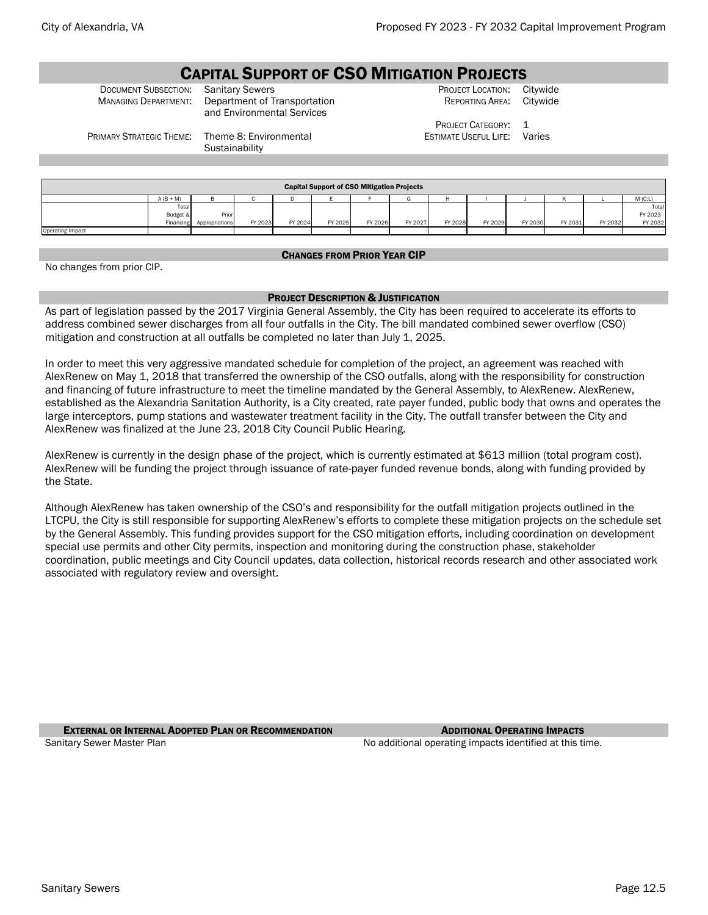## CAPITAL SUPPORT OF CSO MITIGATION PROJECTS

DOCUMENT SUBSECTION: Sanitary Sewers **PROJECT LOCATION: Citywide** PROJECT LOCATION: Citywide MANAGING DEPARTMENT: Department of Transportation REPORTING AREA: Citywide Department of Transportation and Environmental Services

REPORTING AREA:

PROJECT CATEGORY: 1 ESTIMATE USEFUL LIFE: Varies

PRIMARY STRATEGIC THEME: Theme 8: Environmental

**Sustainability** 

|                         |             |                |         |         |         | <b>Capital Support of CSO Mitigation Projects</b> |         |         |         |         |         |         |           |
|-------------------------|-------------|----------------|---------|---------|---------|---------------------------------------------------|---------|---------|---------|---------|---------|---------|-----------|
|                         | $A (B + M)$ |                |         |         |         |                                                   |         |         |         |         |         |         | $M$ (C:L) |
|                         | Totall      |                |         |         |         |                                                   |         |         |         |         |         |         | Total     |
|                         | Budget &    | Prior          |         |         |         |                                                   |         |         |         |         |         |         | FY 2023 - |
|                         | Financing   | Appropriations | FY 2023 | FY 2024 | FY 2025 | FY 2026                                           | FY 2027 | FY 2028 | FY 2029 | FY 2030 | FY 2031 | FY 2032 | FY 2032   |
| <b>Operating Impact</b> |             |                |         |         |         |                                                   |         |         |         |         |         |         |           |

#### CHANGES FROM PRIOR YEAR CIP

No changes from prior CIP.

#### PROJECT DESCRIPTION & JUSTIFICATION

As part of legislation passed by the 2017 Virginia General Assembly, the City has been required to accelerate its efforts to address combined sewer discharges from all four outfalls in the City. The bill mandated combined sewer overflow (CSO) mitigation and construction at all outfalls be completed no later than July 1, 2025.

In order to meet this very aggressive mandated schedule for completion of the project, an agreement was reached with AlexRenew on May 1, 2018 that transferred the ownership of the CSO outfalls, along with the responsibility for construction and financing of future infrastructure to meet the timeline mandated by the General Assembly, to AlexRenew. AlexRenew, established as the Alexandria Sanitation Authority, is a City created, rate payer funded, public body that owns and operates the large interceptors, pump stations and wastewater treatment facility in the City. The outfall transfer between the City and AlexRenew was finalized at the June 23, 2018 City Council Public Hearing.

AlexRenew is currently in the design phase of the project, which is currently estimated at \$613 million (total program cost). AlexRenew will be funding the project through issuance of rate-payer funded revenue bonds, along with funding provided by the State.

Although AlexRenew has taken ownership of the CSO's and responsibility for the outfall mitigation projects outlined in the LTCPU, the City is still responsible for supporting AlexRenew's efforts to complete these mitigation projects on the schedule set by the General Assembly. This funding provides support for the CSO mitigation efforts, including coordination on development special use permits and other City permits, inspection and monitoring during the construction phase, stakeholder coordination, public meetings and City Council updates, data collection, historical records research and other associated work associated with regulatory review and oversight.

**EXTERNAL OR INTERNAL ADOPTED PLAN OR RECOMMENDATION ADDITIONAL OPERATING IMPACTS** Sanitary Sewer Master Plan No additional operating impacts identified at this time.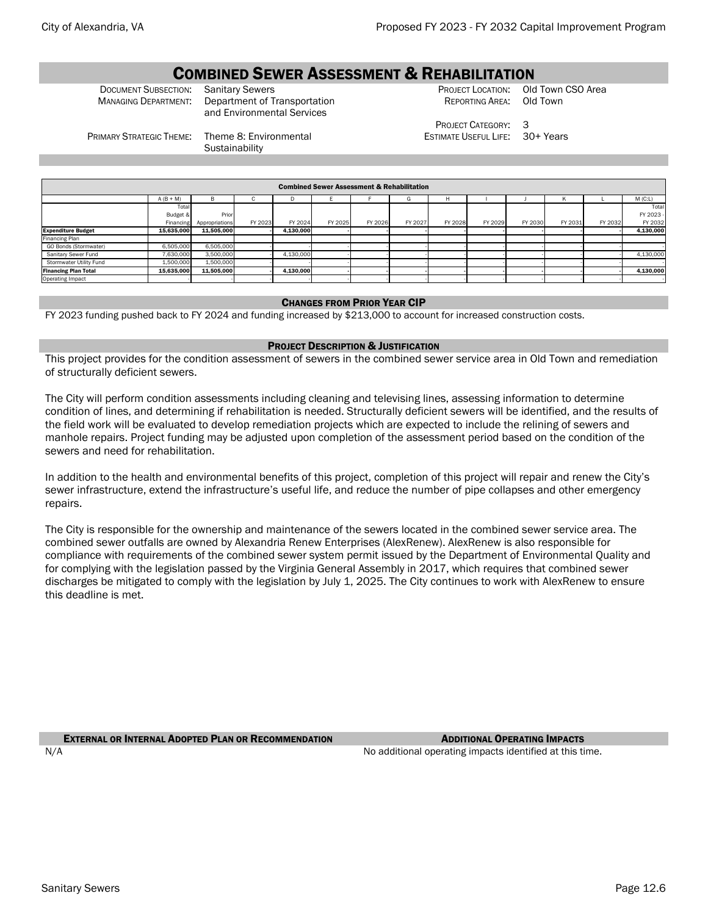# **COMBINED SEWER ASSESSMENT & REHABILITATION**<br>COMBINED Senitary Sewers **PROJECT LOCATION:** Old Town CSO Area

DOCUMENT SUBSECTION: Sanitary Sewers **PROJECT LOCATION: Old Town**<br>MANAGING DEPARTMENT: Department of Transportation REPORTING AREA: Old Town Department of Transportation and Environmental Services

REPORTING AREA:

PROJECT CATEGORY: 3 ESTIMATE USEFUL LIFE: 30+ Years

PRIMARY STRATEGIC THEME: Theme 8: Environmental

**Sustainability** 

|                             | <b>Combined Sewer Assessment &amp; Rehabilitation</b> |                |         |           |         |         |         |         |         |         |         |         |           |  |  |
|-----------------------------|-------------------------------------------------------|----------------|---------|-----------|---------|---------|---------|---------|---------|---------|---------|---------|-----------|--|--|
|                             | $A (B + M)$                                           |                |         | ш         |         |         | G       |         |         |         |         |         | $M$ (C:L) |  |  |
|                             | Total                                                 |                |         |           |         |         |         |         |         |         |         |         | Total     |  |  |
|                             | Budget &                                              | Prior          |         |           |         |         |         |         |         |         |         |         | FY 2023 - |  |  |
|                             | Financing                                             | Appropriations | FY 2023 | FY 2024   | FY 2025 | FY 2026 | FY 2027 | FY 2028 | FY 2029 | FY 2030 | FY 2031 | FY 2032 | FY 2032   |  |  |
| <b>Expenditure Budget</b>   | 15.635.000                                            | 11.505.000     |         | 4.130.000 |         |         |         |         |         |         |         |         | 4.130.000 |  |  |
| Financing Plan              |                                                       |                |         |           |         |         |         |         |         |         |         |         |           |  |  |
| GO Bonds (Stormwater)       | 6,505,000                                             | 6,505,000      |         |           |         |         |         |         |         |         |         |         |           |  |  |
| Sanitary Sewer Fund         | 7,630,000                                             | 3,500,000      |         | 4,130,000 |         |         |         |         |         |         |         |         | 4,130,000 |  |  |
| Stormwater Utility Fund     | 1,500,000                                             | 1,500,000      |         |           |         |         |         |         |         |         |         |         |           |  |  |
| <b>Financing Plan Total</b> | 15,635,000                                            | 11.505.000     |         | 4,130,000 |         |         |         |         |         |         |         |         | 4.130.000 |  |  |
| Operating Impact            |                                                       |                |         |           |         |         |         |         |         |         |         |         |           |  |  |

#### CHANGES FROM PRIOR YEAR CIP

FY 2023 funding pushed back to FY 2024 and funding increased by \$213,000 to account for increased construction costs.

#### PROJECT DESCRIPTION & JUSTIFICATION

This project provides for the condition assessment of sewers in the combined sewer service area in Old Town and remediation of structurally deficient sewers.

The City will perform condition assessments including cleaning and televising lines, assessing information to determine condition of lines, and determining if rehabilitation is needed. Structurally deficient sewers will be identified, and the results of the field work will be evaluated to develop remediation projects which are expected to include the relining of sewers and manhole repairs. Project funding may be adjusted upon completion of the assessment period based on the condition of the sewers and need for rehabilitation.

In addition to the health and environmental benefits of this project, completion of this project will repair and renew the City's sewer infrastructure, extend the infrastructure's useful life, and reduce the number of pipe collapses and other emergency repairs.

The City is responsible for the ownership and maintenance of the sewers located in the combined sewer service area. The combined sewer outfalls are owned by Alexandria Renew Enterprises (AlexRenew). AlexRenew is also responsible for compliance with requirements of the combined sewer system permit issued by the Department of Environmental Quality and for complying with the legislation passed by the Virginia General Assembly in 2017, which requires that combined sewer discharges be mitigated to comply with the legislation by July 1, 2025. The City continues to work with AlexRenew to ensure this deadline is met.

#### **EXTERNAL OR INTERNAL ADOPTED PLAN OR RECOMMENDATION** ADDITIONAL **OPERATING IMPACTS**

N/A  $\blacksquare$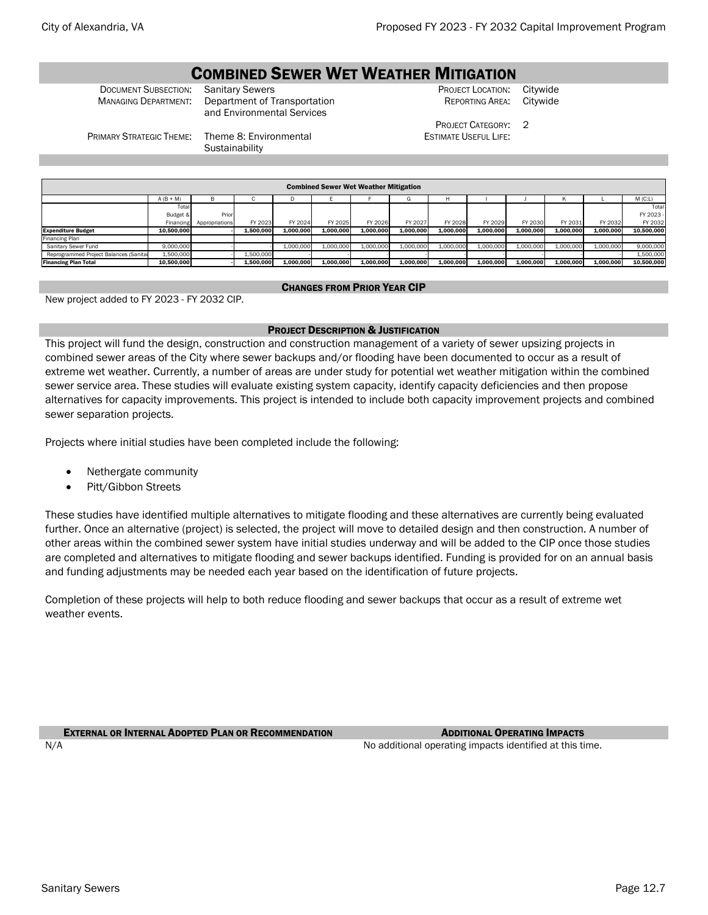# **COMBINED SEWER WET WEATHER MITIGATION**<br>Sanitary Sewers<br>PROJECT LOCATION:

**DOCUMENT SUBSECTION:** Sanitary Sewers **PROJECT LOCATION: Citywide** MANAGING DEPARTMENT: Department of Transportation **PROJECT LOCATION: Citywide** Department of Transportation and Environmental Services

REPORTING AREA:

PROJECT CATEGORY: 2 ESTIMATE USEFUL LIFE:

PRIMARY STRATEGIC THEME: Theme 8: Environmental **Sustainability** 

|                                        | <b>Combined Sewer Wet Weather Mitigation</b> |                |           |           |           |           |           |           |           |           |           |           |            |  |  |
|----------------------------------------|----------------------------------------------|----------------|-----------|-----------|-----------|-----------|-----------|-----------|-----------|-----------|-----------|-----------|------------|--|--|
|                                        | $A (B + M)$                                  | B              |           |           |           |           |           |           |           |           |           |           | $M$ (C:L)  |  |  |
|                                        | Total                                        |                |           |           |           |           |           |           |           |           |           |           | Total      |  |  |
|                                        | Budget &                                     | Prior          |           |           |           |           |           |           |           |           |           |           | FY 2023    |  |  |
|                                        | Financing                                    | Appropriations | FY 2023   | FY 2024   | FY 2025   | FY 2026   | FY 2027   | FY 2028   | FY 2029   | FY 2030   | FY 2031   | FY 2032   | FY 2032    |  |  |
| <b>Expenditure Budget</b>              | 10.500.000                                   |                | 1,500,000 | 1,000,000 | 1,000,000 | 1.000.000 | 1,000,000 | 1.000.000 | 1.000.000 | 1,000,000 | 1.000.000 | 1,000,000 | 10,500,000 |  |  |
| Financing Plan                         |                                              |                |           |           |           |           |           |           |           |           |           |           |            |  |  |
| Sanitary Sewer Fund                    | 9.000.000                                    |                |           | 1,000,000 | 1.000.000 | 1.000.000 | 1,000,000 | 1.000.000 | 1,000,000 | 1,000,000 | 1.000.000 | 1,000,000 | 9,000,000  |  |  |
| Reprogrammed Project Balances (Sanital | 1,500,000                                    |                | 1,500,000 |           |           |           |           |           |           |           |           |           | 1,500,000  |  |  |
| <b>Financing Plan Total</b>            | 10.500.000                                   |                | 1.500.000 | 1.000.000 | 1.000.000 | 1.000.000 | 1.000.000 | 1.000.000 | 1.000.000 | 1.000.000 | 1.000.000 | 1.000.000 | 10,500,000 |  |  |

#### CHANGES FROM PRIOR YEAR CIP

New project added to FY 2023 - FY 2032 CIP.

### PROJECT DESCRIPTION & JUSTIFICATION

This project will fund the design, construction and construction management of a variety of sewer upsizing projects in combined sewer areas of the City where sewer backups and/or flooding have been documented to occur as a result of extreme wet weather. Currently, a number of areas are under study for potential wet weather mitigation within the combined sewer service area. These studies will evaluate existing system capacity, identify capacity deficiencies and then propose alternatives for capacity improvements. This project is intended to include both capacity improvement projects and combined sewer separation projects.

Projects where initial studies have been completed include the following:

- Nethergate community
- Pitt/Gibbon Streets

These studies have identified multiple alternatives to mitigate flooding and these alternatives are currently being evaluated further. Once an alternative (project) is selected, the project will move to detailed design and then construction. A number of other areas within the combined sewer system have initial studies underway and will be added to the CIP once those studies are completed and alternatives to mitigate flooding and sewer backups identified. Funding is provided for on an annual basis and funding adjustments may be needed each year based on the identification of future projects.

Completion of these projects will help to both reduce flooding and sewer backups that occur as a result of extreme wet weather events.

**EXTERNAL OR INTERNAL ADOPTED PLAN OR RECOMMENDATION** ADDITIONAL **ADDITIONAL OPERATING IMPACTS** N/A  $\blacksquare$  No additional operating impacts identified at this time.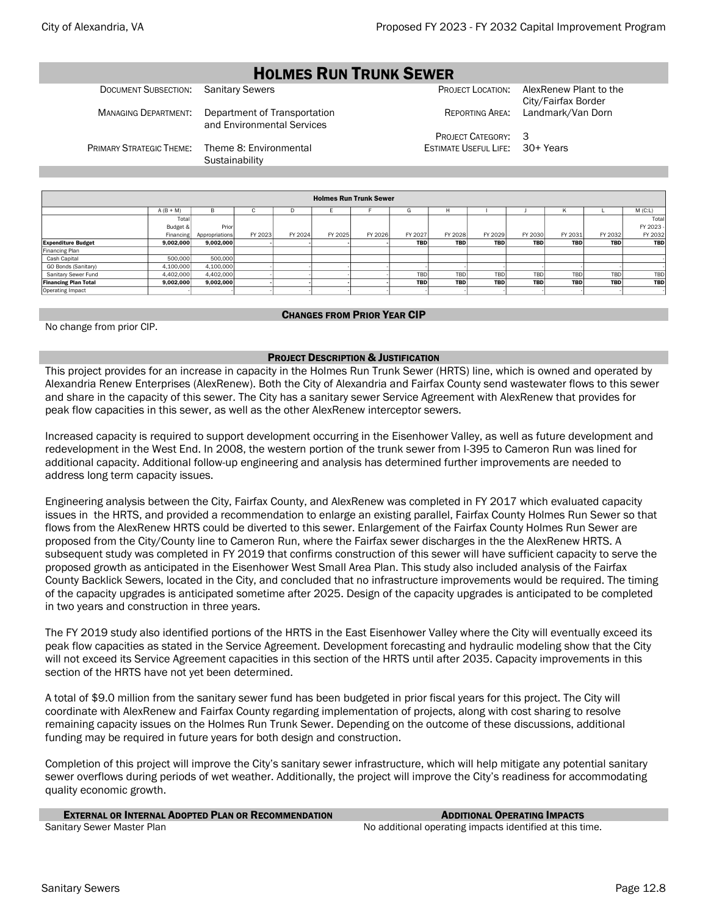### HOLMES RUN TRUNK SEWER

|  | DOCUMENT SUBSECTION: Sanital |  |
|--|------------------------------|--|
|  |                              |  |
|  |                              |  |

MANAGING DEPARTMENT: Department of Transportation and Environmental Services

DOCUMENT SUBSECTION: AlexRenew Plant to the PROJECT LOCATION: AlexRenew Plant to the City/Fairfax Border REPORTING AREA: Landmark/Van Dorn

> PROJECT CATEGORY: 3 ESTIMATE USEFUL LIFE: 30+ Years

PRIMARY STRATEGIC THEME: Theme 8: Environmental **Sustainability** 

|                             |             |                |         |         |         | <b>Holmes Run Trunk Sewer</b> |            |            |            |            |            |            |            |
|-----------------------------|-------------|----------------|---------|---------|---------|-------------------------------|------------|------------|------------|------------|------------|------------|------------|
|                             | $A (B + M)$ | B              | c       | D       |         |                               | G          | н          |            |            | ĸ          |            | M(C:L)     |
|                             | Total       |                |         |         |         |                               |            |            |            |            |            |            | Total      |
|                             | Budget &    | Prior          |         |         |         |                               |            |            |            |            |            |            | FY 2023 -  |
|                             | Financing   | Appropriations | FY 2023 | FY 2024 | FY 2025 | FY 2026                       | FY 2027    | FY 2028    | FY 2029    | FY 2030    | FY 2031    | FY 2032    | FY 2032    |
| <b>Expenditure Budget</b>   | 9,002,000   | 9,002,000      |         |         |         |                               | <b>TBD</b> | <b>TBD</b> | <b>TBD</b> | <b>TBD</b> | <b>TBD</b> | <b>TBD</b> | <b>TBD</b> |
| Financing Plan              |             |                |         |         |         |                               |            |            |            |            |            |            |            |
| Cash Capital                | 500,000     | 500,000        |         |         |         |                               |            |            |            |            |            |            |            |
| GO Bonds (Sanitary)         | 4,100,000   | 4,100,000      |         |         |         |                               |            |            |            |            |            |            |            |
| Sanitary Sewer Fund         | 4,402,000   | 4,402,000      |         |         |         |                               | TBD        | TBD        | TBD        | TBD        | <b>TBD</b> | TBD        | TBD        |
| <b>Financing Plan Total</b> | 9,002,000   | 9,002,000      |         |         |         |                               | <b>TBD</b> | <b>TBD</b> | <b>TBD</b> | <b>TBD</b> | <b>TBD</b> | <b>TBD</b> | <b>TBD</b> |
| Operating Impact            |             |                |         |         |         |                               |            |            |            |            |            |            |            |

#### CHANGES FROM PRIOR YEAR CIP

No change from prior CIP.

#### PROJECT DESCRIPTION & JUSTIFICATION

This project provides for an increase in capacity in the Holmes Run Trunk Sewer (HRTS) line, which is owned and operated by Alexandria Renew Enterprises (AlexRenew). Both the City of Alexandria and Fairfax County send wastewater flows to this sewer and share in the capacity of this sewer. The City has a sanitary sewer Service Agreement with AlexRenew that provides for peak flow capacities in this sewer, as well as the other AlexRenew interceptor sewers.

Increased capacity is required to support development occurring in the Eisenhower Valley, as well as future development and redevelopment in the West End. In 2008, the western portion of the trunk sewer from I-395 to Cameron Run was lined for additional capacity. Additional follow-up engineering and analysis has determined further improvements are needed to address long term capacity issues.

Engineering analysis between the City, Fairfax County, and AlexRenew was completed in FY 2017 which evaluated capacity issues in the HRTS, and provided a recommendation to enlarge an existing parallel, Fairfax County Holmes Run Sewer so that flows from the AlexRenew HRTS could be diverted to this sewer. Enlargement of the Fairfax County Holmes Run Sewer are proposed from the City/County line to Cameron Run, where the Fairfax sewer discharges in the the AlexRenew HRTS. A subsequent study was completed in FY 2019 that confirms construction of this sewer will have sufficient capacity to serve the proposed growth as anticipated in the Eisenhower West Small Area Plan. This study also included analysis of the Fairfax County Backlick Sewers, located in the City, and concluded that no infrastructure improvements would be required. The timing of the capacity upgrades is anticipated sometime after 2025. Design of the capacity upgrades is anticipated to be completed in two years and construction in three years.

The FY 2019 study also identified portions of the HRTS in the East Eisenhower Valley where the City will eventually exceed its peak flow capacities as stated in the Service Agreement. Development forecasting and hydraulic modeling show that the City will not exceed its Service Agreement capacities in this section of the HRTS until after 2035. Capacity improvements in this section of the HRTS have not yet been determined.

A total of \$9.0 million from the sanitary sewer fund has been budgeted in prior fiscal years for this project. The City will coordinate with AlexRenew and Fairfax County regarding implementation of projects, along with cost sharing to resolve remaining capacity issues on the Holmes Run Trunk Sewer. Depending on the outcome of these discussions, additional funding may be required in future years for both design and construction.

Completion of this project will improve the City's sanitary sewer infrastructure, which will help mitigate any potential sanitary sewer overflows during periods of wet weather. Additionally, the project will improve the City's readiness for accommodating quality economic growth.

| <b>EXTERNAL OR INTERNAL ADOPTED PLAN OR RECOMMENDATION</b> | <b>ADDITIONAL OPERATING IMPACTS</b>                      |
|------------------------------------------------------------|----------------------------------------------------------|
| Sanitary Sewer Master Plan                                 | No additional operating impacts identified at this time. |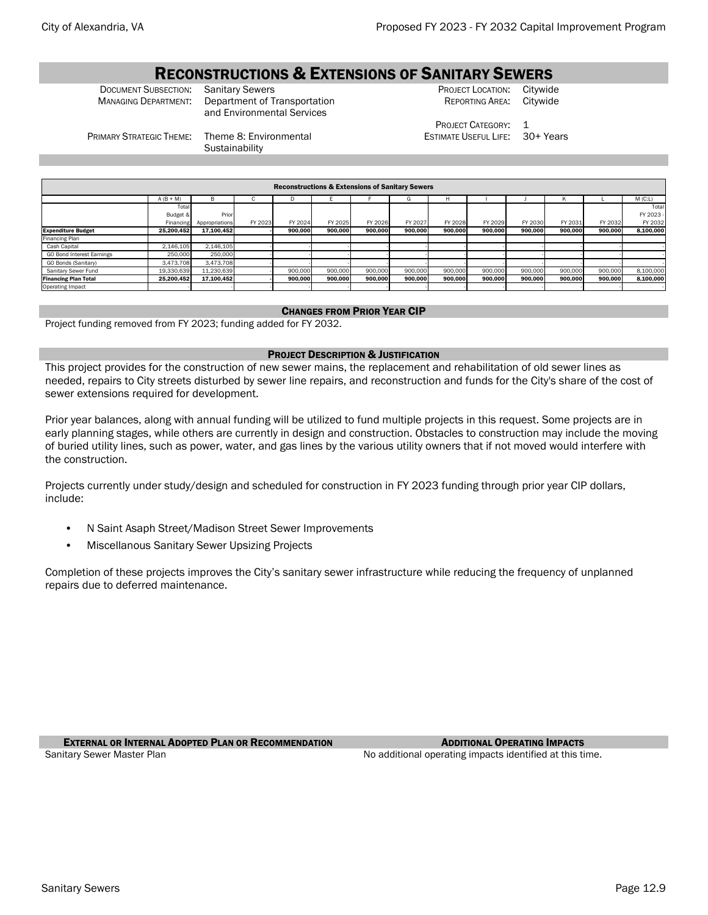### **RECONSTRUCTIONS & EXTENSIONS OF SANITARY SEWERS**<br>Project Location: Sanitary Sewers

**DOCUMENT SUBSECTION:** Sanitary Sewers **PROJECT LOCATION: Citywide** MANAGING DEPARTMENT: Department of Transportation **PROJECT LOCATION: Citywide** Department of Transportation and Environmental Services

REPORTING AREA:

PROJECT CATEGORY: 1 ESTIMATE USEFUL LIFE: 30+ Years

PRIMARY STRATEGIC THEME: Theme 8: Environmental

**Sustainability** 

|                             | <b>Reconstructions &amp; Extensions of Sanitary Sewers</b> |                |         |         |         |         |         |         |         |         |         |         |           |  |  |
|-----------------------------|------------------------------------------------------------|----------------|---------|---------|---------|---------|---------|---------|---------|---------|---------|---------|-----------|--|--|
|                             | $A (B + M)$                                                | B              | v       | D       |         |         | G       | H       |         |         | K       |         | $M$ (C:L) |  |  |
|                             | Total                                                      |                |         |         |         |         |         |         |         |         |         |         | Total     |  |  |
|                             | Budget &                                                   | Prior          |         |         |         |         |         |         |         |         |         |         | FY 2023 - |  |  |
|                             | Financing                                                  | Appropriations | FY 2023 | FY 2024 | FY 2025 | FY 2026 | FY 2027 | FY 2028 | FY 2029 | FY 2030 | FY 2031 | FY 2032 | FY 2032   |  |  |
| <b>Expenditure Budget</b>   | 25.200.452                                                 | 17.100.452     |         | 900.000 | 900.000 | 900.000 | 900.000 | 900.000 | 900.000 | 900.000 | 900.000 | 900.000 | 8.100.000 |  |  |
| Financing Plan              |                                                            |                |         |         |         |         |         |         |         |         |         |         |           |  |  |
| Cash Capital                | 2.146.105                                                  | 2.146.105      |         |         |         |         |         |         |         |         |         |         |           |  |  |
| GO Bond Interest Earnings   | 250,000                                                    | 250,000        |         |         |         |         |         |         |         |         |         |         |           |  |  |
| GO Bonds (Sanitary)         | 3,473,708                                                  | 3.473.708      |         |         |         |         |         |         |         |         |         |         |           |  |  |
| Sanitary Sewer Fund         | 19,330,639                                                 | 11,230,639     |         | 900,000 | 900,000 | 900,000 | 900,000 | 900,000 | 900,000 | 900,000 | 900,000 | 900,000 | 8,100,000 |  |  |
| <b>Financing Plan Total</b> | 25.200.452                                                 | 17.100.452     |         | 900.000 | 900.000 | 900.000 | 900.000 | 900.000 | 900.000 | 900.000 | 900.000 | 900.000 | 8.100.000 |  |  |
| Operating Impact            |                                                            |                |         |         |         |         |         |         |         |         |         |         |           |  |  |

#### CHANGES FROM PRIOR YEAR CIP

Project funding removed from FY 2023; funding added for FY 2032.

#### PROJECT DESCRIPTION & JUSTIFICATION

This project provides for the construction of new sewer mains, the replacement and rehabilitation of old sewer lines as needed, repairs to City streets disturbed by sewer line repairs, and reconstruction and funds for the City's share of the cost of sewer extensions required for development.

Prior year balances, along with annual funding will be utilized to fund multiple projects in this request. Some projects are in early planning stages, while others are currently in design and construction. Obstacles to construction may include the moving of buried utility lines, such as power, water, and gas lines by the various utility owners that if not moved would interfere with the construction.

Projects currently under study/design and scheduled for construction in FY 2023 funding through prior year CIP dollars, include:

- N Saint Asaph Street/Madison Street Sewer Improvements
- Miscellanous Sanitary Sewer Upsizing Projects

Completion of these projects improves the City's sanitary sewer infrastructure while reducing the frequency of unplanned repairs due to deferred maintenance.

**EXTERNAL OR INTERNAL ADOPTED PLAN OR RECOMMENDATION** ADDITIONAL **OPERATING IMPACTS** 

Sanitary Sewer Master Plan No additional operating impacts identified at this time.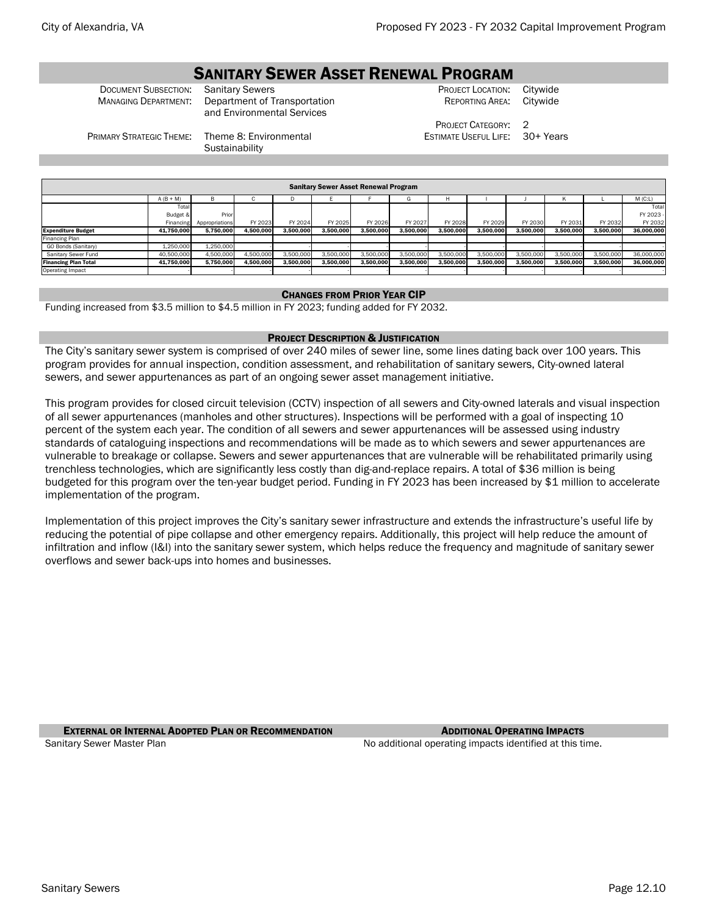# **SANITARY SEWER ASSET RENEWAL PROGRAM**<br>**Sanitary Sewers**

**DOCUMENT SUBSECTION:** Sanitary Sewers **PROJECT LOCATION: Citywide** MANAGING DEPARTMENT: Department of Transportation **PROJECT LOCATION: Citywide** Department of Transportation and Environmental Services

REPORTING AREA:

PROJECT CATEGORY: 2 ESTIMATE USEFUL LIFE: 30+ Years

PRIMARY STRATEGIC THEME: Theme 8: Environmental

**Sustainability** 

|                             | <b>Sanitary Sewer Asset Renewal Program</b> |                |           |           |           |           |           |           |           |           |           |           |            |  |  |
|-----------------------------|---------------------------------------------|----------------|-----------|-----------|-----------|-----------|-----------|-----------|-----------|-----------|-----------|-----------|------------|--|--|
|                             | $A (B + M)$                                 | B              |           |           |           |           | G         | н         |           |           | ĸ         |           | M(C:L)     |  |  |
|                             | Total                                       |                |           |           |           |           |           |           |           |           |           |           | Total      |  |  |
|                             | Budget &                                    | Prior          |           |           |           |           |           |           |           |           |           |           | FY 2023 -  |  |  |
|                             | Financing                                   | Appropriations | FY 2023   | FY 2024   | FY 2025   | FY 2026   | FY 2027   | FY 2028   | FY 2029   | FY 2030   | FY 2031   | FY 2032   | FY 2032    |  |  |
| <b>Expenditure Budget</b>   | 41.750.000                                  | 5.750.000      | 4.500.000 | 3.500.000 | 3.500.000 | 3.500.000 | 3.500.000 | 3.500.000 | 3.500.000 | 3.500.000 | 3.500.000 | 3,500,000 | 36,000,000 |  |  |
| Financing Plan              |                                             |                |           |           |           |           |           |           |           |           |           |           |            |  |  |
| GO Bonds (Sanitary)         | 1,250,000                                   | 1.250.000      |           |           |           |           |           |           |           |           |           |           |            |  |  |
| Sanitary Sewer Fund         | 40,500,000                                  | 4,500,000      | 4.500.000 | 3,500,000 | 3,500,000 | 3,500,000 | 3,500,000 | 3,500,000 | 3,500,000 | 3,500,000 | 3,500,000 | 3,500,000 | 36,000,000 |  |  |
| <b>Financing Plan Total</b> | 41.750.000                                  | 5.750.000      | 4.500.000 | 3.500.000 | 3.500.000 | 3.500.000 | 3.500.000 | 3.500.000 | 3.500.000 | 3,500,000 | 3.500.000 | 3.500.000 | 36.000.000 |  |  |
| Operating Impact            |                                             |                |           |           |           |           |           |           |           |           |           |           |            |  |  |

#### CHANGES FROM PRIOR YEAR CIP

Funding increased from \$3.5 million to \$4.5 million in FY 2023; funding added for FY 2032.

#### PROJECT DESCRIPTION & JUSTIFICATION

The City's sanitary sewer system is comprised of over 240 miles of sewer line, some lines dating back over 100 years. This program provides for annual inspection, condition assessment, and rehabilitation of sanitary sewers, City-owned lateral sewers, and sewer appurtenances as part of an ongoing sewer asset management initiative.

This program provides for closed circuit television (CCTV) inspection of all sewers and City-owned laterals and visual inspection of all sewer appurtenances (manholes and other structures). Inspections will be performed with a goal of inspecting 10 percent of the system each year. The condition of all sewers and sewer appurtenances will be assessed using industry standards of cataloguing inspections and recommendations will be made as to which sewers and sewer appurtenances are vulnerable to breakage or collapse. Sewers and sewer appurtenances that are vulnerable will be rehabilitated primarily using trenchless technologies, which are significantly less costly than dig-and-replace repairs. A total of \$36 million is being budgeted for this program over the ten-year budget period. Funding in FY 2023 has been increased by \$1 million to accelerate implementation of the program.

Implementation of this project improves the City's sanitary sewer infrastructure and extends the infrastructure's useful life by reducing the potential of pipe collapse and other emergency repairs. Additionally, this project will help reduce the amount of infiltration and inflow (I&I) into the sanitary sewer system, which helps reduce the frequency and magnitude of sanitary sewer overflows and sewer back-ups into homes and businesses.

**EXTERNAL OR INTERNAL ADOPTED PLAN OR RECOMMENDATION** ADDITIONAL **OPERATING IMPACTS** Sanitary Sewer Master Plan No additional operating impacts identified at this time.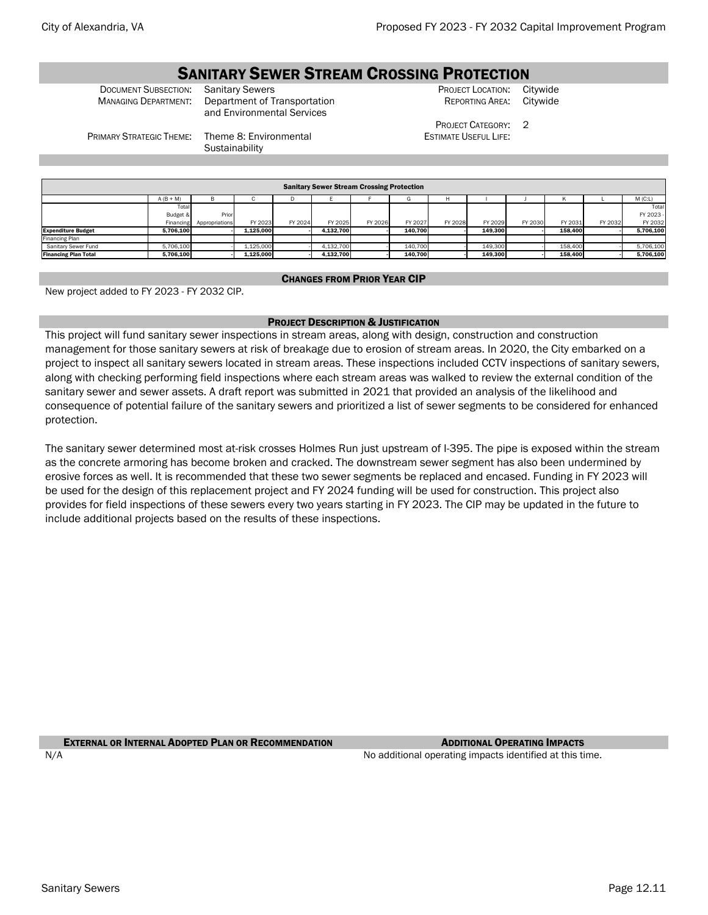nancing Plan

# **SANITARY SEWER STREAM CROSSING PROTECTION**<br>TON: Sanitary Sewers **CRAM CROSSING PROJECT LOCATION:** C

PRIMARY STRATEGIC THEME: Theme 8: Environmental

DOCUMENT SUBSECTION: Sanitary Sewers **PROJECT LOCATION: Citywide** PROJECT LOCATION: Citywide MANAGING DEPARTMENT: Department of Transportation REPORTING AREA: Citywide Department of Transportation and Environmental Services

**Sustainability** 

REPORTING AREA:

PROJECT CATEGORY: 2 ESTIMATE USEFUL LIFE:

A (B + M) B C D E F G H I J K L M (C:L) Tot Budget & **Financing** p<sub>rio</sub> Appropriations FY 2023 FY 2024 FY 2025 FY 2026 FY 2027 FY 2028 FY 2029 FY 2030 FY 2031 FY 2032 Sanitary Sewer Stream Crossing Protection

#### CHANGES FROM PRIOR YEAR CIP

Expenditure Budget | 5,706,100 - | 1,125,000 | - | 4,132,700 | - | 140,700 | - | 158,400 | - | 5,706,100

Sanitary Sewer Fund | 5,706,100 | -| 1,125,000 | -| 4,132,700 | - | 140,700 | - | 158,400 | - | 5,706,100 | Financing Plan Total | 5,706,100 - | 1,125,000 - | 4,132,700 - | 140,700 - | 149,300 - | 158,400 - | 5,706,100

New project added to FY 2023 - FY 2032 CIP.

#### PROJECT DESCRIPTION & JUSTIFICATION

This project will fund sanitary sewer inspections in stream areas, along with design, construction and construction management for those sanitary sewers at risk of breakage due to erosion of stream areas. In 2020, the City embarked on a project to inspect all sanitary sewers located in stream areas. These inspections included CCTV inspections of sanitary sewers, along with checking performing field inspections where each stream areas was walked to review the external condition of the sanitary sewer and sewer assets. A draft report was submitted in 2021 that provided an analysis of the likelihood and consequence of potential failure of the sanitary sewers and prioritized a list of sewer segments to be considered for enhanced protection.

The sanitary sewer determined most at-risk crosses Holmes Run just upstream of I-395. The pipe is exposed within the stream as the concrete armoring has become broken and cracked. The downstream sewer segment has also been undermined by erosive forces as well. It is recommended that these two sewer segments be replaced and encased. Funding in FY 2023 will be used for the design of this replacement project and FY 2024 funding will be used for construction. This project also provides for field inspections of these sewers every two years starting in FY 2023. The CIP may be updated in the future to include additional projects based on the results of these inspections.

**EXTERNAL OR INTERNAL ADOPTED PLAN OR RECOMMENDATION** ADDITIONAL **OPERATING IMPACTS** 

N/A  $\blacksquare$  No additional operating impacts identified at this time.

Total FY 2023  $FY 2032$ <br>5,706,100